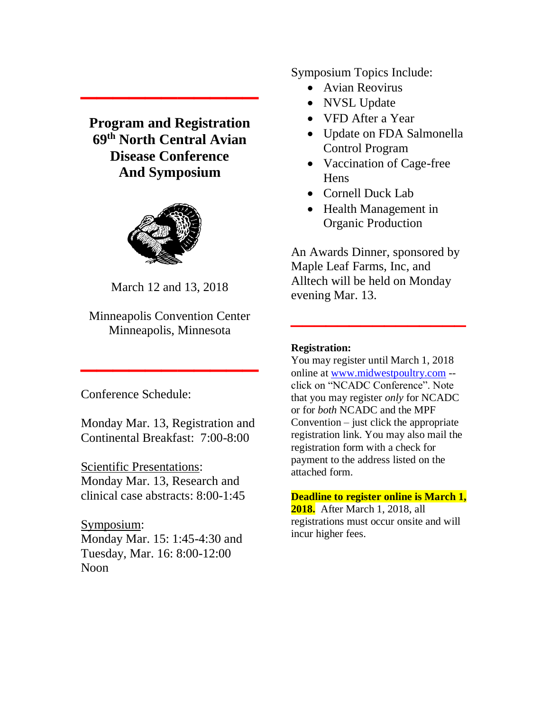# **Program and Registration 69 th North Central Avian Disease Conference And Symposium**

**\_\_\_\_\_\_\_\_\_\_\_**



March 12 and 13, 2018

Minneapolis Convention Center Minneapolis, Minnesota

**\_\_\_\_\_\_\_\_\_\_\_**

Conference Schedule:

Monday Mar. 13, Registration and Continental Breakfast: 7:00-8:00

Scientific Presentations: Monday Mar. 13, Research and clinical case abstracts: 8:00-1:45

Symposium: Monday Mar. 15: 1:45-4:30 and Tuesday, Mar. 16: 8:00-12:00 Noon

Symposium Topics Include:

- Avian Reovirus
- NVSL Update
- VFD After a Year
- Update on FDA Salmonella Control Program
- Vaccination of Cage-free **Hens**
- Cornell Duck Lab
- Health Management in Organic Production

An Awards Dinner, sponsored by Maple Leaf Farms, Inc, and Alltech will be held on Monday evening Mar. 13.

**\_\_\_\_\_\_\_\_\_\_\_\_\_\_\_**

#### **Registration:**

You may register until March 1, 2018 online at [www.midwestpoultry.com](http://www.midwestpoultry.com/) - click on "NCADC Conference". Note that you may register *only* for NCADC or for *both* NCADC and the MPF Convention – just click the appropriate registration link. You may also mail the registration form with a check for payment to the address listed on the attached form.

**Deadline to register online is March 1, 2018.** After March 1, 2018, all registrations must occur onsite and will incur higher fees.